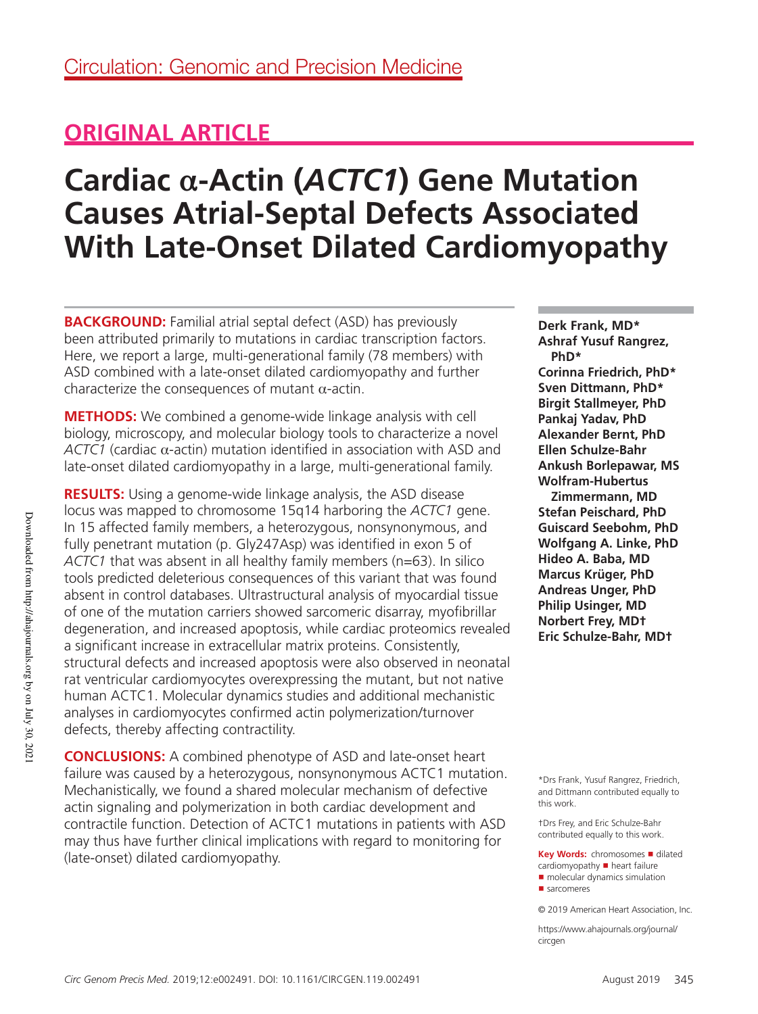## **ORIGINAL ARTICLE**

# **Cardiac α-Actin (***ACTC1***) Gene Mutation Causes Atrial-Septal Defects Associated With Late-Onset Dilated Cardiomyopathy**

**BACKGROUND:** Familial atrial septal defect (ASD) has previously been attributed primarily to mutations in cardiac transcription factors. Here, we report a large, multi-generational family (78 members) with ASD combined with a late-onset dilated cardiomyopathy and further characterize the consequences of mutant  $\alpha$ -actin.

**METHODS:** We combined a genome-wide linkage analysis with cell biology, microscopy, and molecular biology tools to characterize a novel *ACTC1* (cardiac α-actin) mutation identified in association with ASD and late-onset dilated cardiomyopathy in a large, multi-generational family.

**RESULTS:** Using a genome-wide linkage analysis, the ASD disease locus was mapped to chromosome 15q14 harboring the *ACTC1* gene. In 15 affected family members, a heterozygous, nonsynonymous, and fully penetrant mutation (p. Gly247Asp) was identified in exon 5 of *ACTC1* that was absent in all healthy family members (n=63). In silico tools predicted deleterious consequences of this variant that was found absent in control databases. Ultrastructural analysis of myocardial tissue of one of the mutation carriers showed sarcomeric disarray, myofibrillar degeneration, and increased apoptosis, while cardiac proteomics revealed a significant increase in extracellular matrix proteins. Consistently, structural defects and increased apoptosis were also observed in neonatal rat ventricular cardiomyocytes overexpressing the mutant, but not native human ACTC1. Molecular dynamics studies and additional mechanistic analyses in cardiomyocytes confirmed actin polymerization/turnover defects, thereby affecting contractility.

**CONCLUSIONS:** A combined phenotype of ASD and late-onset heart failure was caused by a heterozygous, nonsynonymous ACTC1 mutation. Mechanistically, we found a shared molecular mechanism of defective actin signaling and polymerization in both cardiac development and contractile function. Detection of ACTC1 mutations in patients with ASD may thus have further clinical implications with regard to monitoring for (late-onset) dilated cardiomyopathy.

**Derk Frank, MD\* Ashraf Yusuf Rangrez, PhD\* Corinna Friedrich, PhD\* Sven Dittmann, PhD\* Birgit Stallmeyer, PhD Pankaj Yadav, PhD Alexander Bernt, PhD Ellen Schulze-Bahr Ankush Borlepawar, MS Wolfram-Hubertus** 

**Zimmermann, MD Stefan Peischard, PhD Guiscard Seebohm, PhD Wolfgang A. Linke, PhD Hideo A. Baba, MD Marcus Krüger, PhD Andreas Unger, PhD Philip Usinger, MD Norbert Frey, MD† Eric Schulze-Bahr, MD†**

\*Drs Frank, Yusuf Rangrez, Friedrich, and Dittmann contributed equally to this work.

†Drs Frey, and Eric Schulze-Bahr contributed equally to this work.

**Key Words: chromosomes ■ dilated**  $cardiomy$ opathy  $\blacksquare$  heart failure ■ molecular dynamics simulation

https://www.ahajournals.org/journal/ circaen

<sup>■</sup> sarcomeres

<sup>© 2019</sup> American Heart Association, Inc.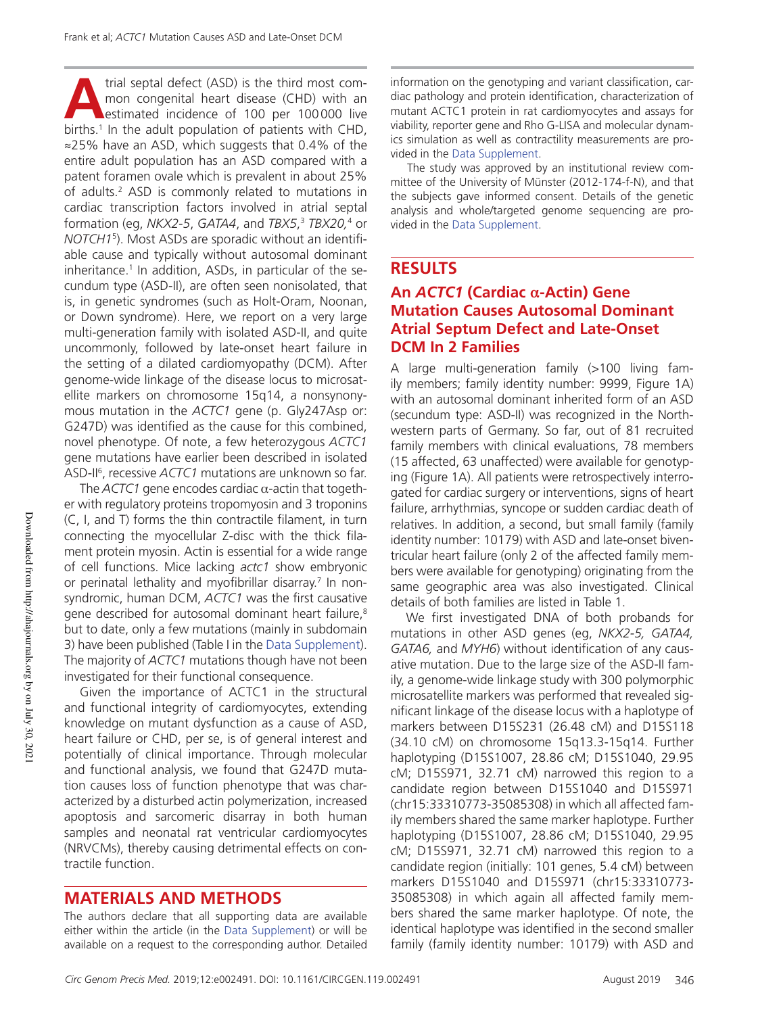trial septal defect (ASD) is the third most com-<br>mon congenital heart disease (CHD) with an<br>estimated incidence of 100 per 100000 live<br>births.<sup>1</sup> In the adult population of patients with CHD, trial septal defect (ASD) is the third most common congenital heart disease (CHD) with an estimated incidence of 100 per 100 000 live ≈25% have an ASD, which suggests that 0.4% of the entire adult population has an ASD compared with a patent foramen ovale which is prevalent in about 25% of adults.<sup>2</sup> ASD is commonly related to mutations in cardiac transcription factors involved in atrial septal formation (eg, *NKX2-5*, *GATA4*, and *TBX5*, <sup>3</sup> *TBX20,*<sup>4</sup> or *NOTCH1*<sup>5</sup> ). Most ASDs are sporadic without an identifiable cause and typically without autosomal dominant inheritance.<sup>1</sup> In addition, ASDs, in particular of the secundum type (ASD-II), are often seen nonisolated, that is, in genetic syndromes (such as Holt-Oram, Noonan, or Down syndrome). Here, we report on a very large multi-generation family with isolated ASD-II, and quite uncommonly, followed by late-onset heart failure in the setting of a dilated cardiomyopathy (DCM). After genome-wide linkage of the disease locus to microsatellite markers on chromosome 15q14, a nonsynonymous mutation in the *ACTC1* gene (p. Gly247Asp or: G247D) was identified as the cause for this combined, novel phenotype. Of note, a few heterozygous *ACTC1* gene mutations have earlier been described in isolated ASD-II<sup>6</sup>, recessive *ACTC1* mutations are unknown so far.

The  $ACTC1$  gene encodes cardiac  $\alpha$ -actin that together with regulatory proteins tropomyosin and 3 troponins (C, I, and T) forms the thin contractile filament, in turn connecting the myocellular Z-disc with the thick filament protein myosin. Actin is essential for a wide range of cell functions. Mice lacking *actc1* show embryonic or perinatal lethality and myofibrillar disarray.<sup>7</sup> In nonsyndromic, human DCM, *ACTC1* was the first causative gene described for autosomal dominant heart failure,<sup>8</sup> but to date, only a few mutations (mainly in subdomain 3) have been published (Table I in the Data Supplement). The majority of *ACTC1* mutations though have not been investigated for their functional consequence.

Given the importance of ACTC1 in the structural and functional integrity of cardiomyocytes, extending knowledge on mutant dysfunction as a cause of ASD, heart failure or CHD, per se, is of general interest and potentially of clinical importance. Through molecular and functional analysis, we found that G247D mutation causes loss of function phenotype that was characterized by a disturbed actin polymerization, increased apoptosis and sarcomeric disarray in both human samples and neonatal rat ventricular cardiomyocytes (NRVCMs), thereby causing detrimental effects on contractile function.

## **MATERIALS AND METHODS**

The authors declare that all supporting data are available either within the article (in the Data Supplement) or will be available on a request to the corresponding author. Detailed

information on the genotyping and variant classification, cardiac pathology and protein identification, characterization of mutant ACTC1 protein in rat cardiomyocytes and assays for viability, reporter gene and Rho G-LISA and molecular dynamics simulation as well as contractility measurements are provided in the Data Supplement.

The study was approved by an institutional review committee of the University of Münster (2012-174-f-N), and that the subjects gave informed consent. Details of the genetic analysis and whole/targeted genome sequencing are provided in the Data Supplement.

## **RESULTS**

## **An** *ACTC1* **(Cardiac α-Actin) Gene Mutation Causes Autosomal Dominant Atrial Septum Defect and Late-Onset DCM In 2 Families**

A large multi-generation family (>100 living family members; family identity number: 9999, Figure 1A) with an autosomal dominant inherited form of an ASD (secundum type: ASD-II) was recognized in the Northwestern parts of Germany. So far, out of 81 recruited family members with clinical evaluations, 78 members (15 affected, 63 unaffected) were available for genotyping (Figure 1A). All patients were retrospectively interrogated for cardiac surgery or interventions, signs of heart failure, arrhythmias, syncope or sudden cardiac death of relatives. In addition, a second, but small family (family identity number: 10179) with ASD and late-onset biventricular heart failure (only 2 of the affected family members were available for genotyping) originating from the same geographic area was also investigated. Clinical details of both families are listed in Table 1.

We first investigated DNA of both probands for mutations in other ASD genes (eg, *NKX2-5, GATA4, GATA6,* and *MYH6*) without identification of any causative mutation. Due to the large size of the ASD-II family, a genome-wide linkage study with 300 polymorphic microsatellite markers was performed that revealed significant linkage of the disease locus with a haplotype of markers between D15S231 (26.48 cM) and D15S118 (34.10 cM) on chromosome 15q13.3-15q14. Further haplotyping (D15S1007, 28.86 cM; D15S1040, 29.95 cM; D15S971, 32.71 cM) narrowed this region to a candidate region between D15S1040 and D15S971 (chr15:33310773-35085308) in which all affected family members shared the same marker haplotype. Further haplotyping (D15S1007, 28.86 cM; D15S1040, 29.95 cM; D15S971, 32.71 cM) narrowed this region to a candidate region (initially: 101 genes, 5.4 cM) between markers D15S1040 and D15S971 (chr15:33310773- 35085308) in which again all affected family members shared the same marker haplotype. Of note, the identical haplotype was identified in the second smaller family (family identity number: 10179) with ASD and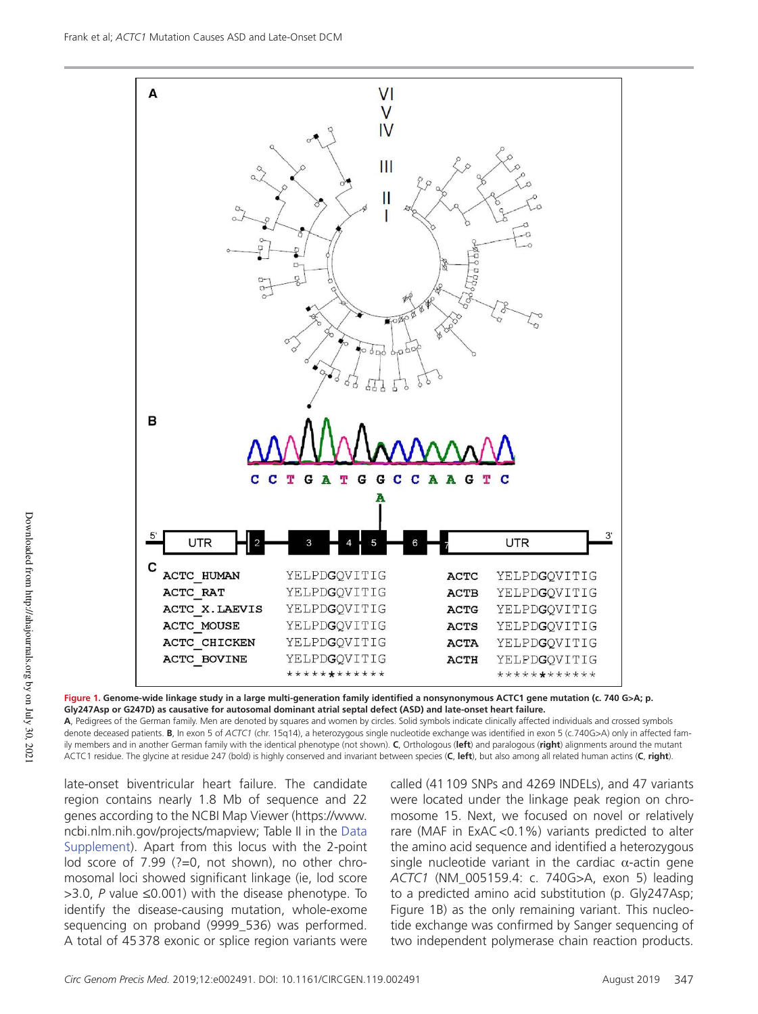

Downloaded from http://ahajournals.org by on July 30, 2021 Downloaded from http://ahajournals.org by on July 30, 2021

**Figure 1. Genome-wide linkage study in a large multi-generation family identified a nonsynonymous ACTC1 gene mutation (c. 740 G>A; p. Gly247Asp or G247D) as causative for autosomal dominant atrial septal defect (ASD) and late-onset heart failure.**

**A**, Pedigrees of the German family. Men are denoted by squares and women by circles. Solid symbols indicate clinically affected individuals and crossed symbols denote deceased patients. **B**, In exon 5 of *ACTC1* (chr. 15q14), a heterozygous single nucleotide exchange was identified in exon 5 (c.740G>A) only in affected family members and in another German family with the identical phenotype (not shown). **C**, Orthologous (**left**) and paralogous (**right**) alignments around the mutant ACTC1 residue. The glycine at residue 247 (bold) is highly conserved and invariant between species (**C**, **left**), but also among all related human actins (**C**, **right**).

late-onset biventricular heart failure. The candidate region contains nearly 1.8 Mb of sequence and 22 genes according to the NCBI Map Viewer (https://www. ncbi.nlm.nih.gov/projects/mapview; Table II in the Data Supplement). Apart from this locus with the 2-point lod score of 7.99 (?=0, not shown), no other chromosomal loci showed significant linkage (ie, lod score >3.0, *P* value ≤0.001) with the disease phenotype. To identify the disease-causing mutation, whole-exome sequencing on proband (9999\_536) was performed. A total of 45 378 exonic or splice region variants were

called (41 109 SNPs and 4269 INDELs), and 47 variants were located under the linkage peak region on chromosome 15. Next, we focused on novel or relatively rare (MAF in ExAC <0.1%) variants predicted to alter the amino acid sequence and identified a heterozygous single nucleotide variant in the cardiac  $\alpha$ -actin gene *ACTC1* (NM\_005159.4: c. 740G>A, exon 5) leading to a predicted amino acid substitution (p. Gly247Asp; Figure 1B) as the only remaining variant. This nucleotide exchange was confirmed by Sanger sequencing of two independent polymerase chain reaction products.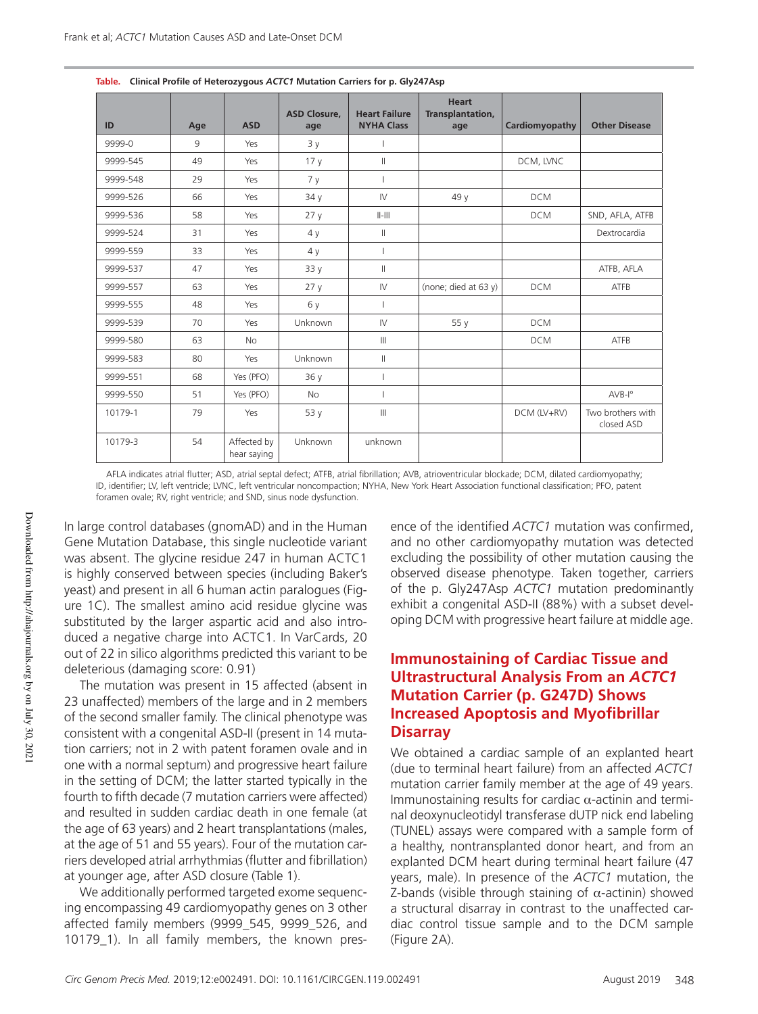| ID       | Age | <b>ASD</b>                 | <b>ASD Closure,</b><br>age | <b>Heart Failure</b><br><b>NYHA Class</b> | <b>Heart</b><br>Transplantation,<br>age | Cardiomyopathy | <b>Other Disease</b>            |
|----------|-----|----------------------------|----------------------------|-------------------------------------------|-----------------------------------------|----------------|---------------------------------|
| 9999-0   | 9   | Yes                        | 3y                         |                                           |                                         |                |                                 |
| 9999-545 | 49  | Yes                        | 17 <sub>y</sub>            | $\parallel$                               |                                         | DCM, LVNC      |                                 |
| 9999-548 | 29  | Yes                        | 7y                         |                                           |                                         |                |                                 |
| 9999-526 | 66  | Yes                        | 34 y                       | ${\sf IV}$                                | 49 y                                    | <b>DCM</b>     |                                 |
| 9999-536 | 58  | Yes                        | 27y                        | $  -   $                                  |                                         | <b>DCM</b>     | SND, AFLA, ATFB                 |
| 9999-524 | 31  | Yes                        | 4y                         | $\parallel$                               |                                         |                | Dextrocardia                    |
| 9999-559 | 33  | Yes                        | 4y                         | T                                         |                                         |                |                                 |
| 9999-537 | 47  | Yes                        | 33 y                       | $\parallel$                               |                                         |                | ATFB, AFLA                      |
| 9999-557 | 63  | Yes                        | 27y                        | ${\sf IV}$                                | (none; died at 63 y)                    | <b>DCM</b>     | ATFB                            |
| 9999-555 | 48  | Yes                        | 6 y                        |                                           |                                         |                |                                 |
| 9999-539 | 70  | Yes                        | Unknown                    | $\mathsf{I}\mathsf{V}$                    | 55 y                                    | <b>DCM</b>     |                                 |
| 9999-580 | 63  | <b>No</b>                  |                            | $\mathbb{H}$                              |                                         | <b>DCM</b>     | <b>ATFB</b>                     |
| 9999-583 | 80  | Yes                        | Unknown                    | $\vert\vert$                              |                                         |                |                                 |
| 9999-551 | 68  | Yes (PFO)                  | 36 y                       |                                           |                                         |                |                                 |
| 9999-550 | 51  | Yes (PFO)                  | <b>No</b>                  |                                           |                                         |                | $AVB-Io$                        |
| 10179-1  | 79  | Yes                        | 53 y                       | $\mathbf{III}$                            |                                         | DCM (LV+RV)    | Two brothers with<br>closed ASD |
| 10179-3  | 54  | Affected by<br>hear saying | Unknown                    | unknown                                   |                                         |                |                                 |

**Table. Clinical Profile of Heterozygous** *ACTC1* **Mutation Carriers for p. Gly247Asp**

AFLA indicates atrial flutter; ASD, atrial septal defect; ATFB, atrial fibrillation; AVB, atrioventricular blockade; DCM, dilated cardiomyopathy; ID, identifier; LV, left ventricle; LVNC, left ventricular noncompaction; NYHA, New York Heart Association functional classification; PFO, patent foramen ovale; RV, right ventricle; and SND, sinus node dysfunction.

In large control databases (gnomAD) and in the Human Gene Mutation Database, this single nucleotide variant was absent. The glycine residue 247 in human ACTC1 is highly conserved between species (including Baker's yeast) and present in all 6 human actin paralogues (Figure 1C). The smallest amino acid residue glycine was substituted by the larger aspartic acid and also introduced a negative charge into ACTC1. In VarCards, 20 out of 22 in silico algorithms predicted this variant to be deleterious (damaging score: 0.91)

The mutation was present in 15 affected (absent in 23 unaffected) members of the large and in 2 members of the second smaller family. The clinical phenotype was consistent with a congenital ASD-II (present in 14 mutation carriers; not in 2 with patent foramen ovale and in one with a normal septum) and progressive heart failure in the setting of DCM; the latter started typically in the fourth to fifth decade (7 mutation carriers were affected) and resulted in sudden cardiac death in one female (at the age of 63 years) and 2 heart transplantations (males, at the age of 51 and 55 years). Four of the mutation carriers developed atrial arrhythmias (flutter and fibrillation) at younger age, after ASD closure (Table 1).

We additionally performed targeted exome sequencing encompassing 49 cardiomyopathy genes on 3 other affected family members (9999\_545, 9999\_526, and 10179\_1). In all family members, the known presence of the identified *ACTC1* mutation was confirmed, and no other cardiomyopathy mutation was detected excluding the possibility of other mutation causing the observed disease phenotype. Taken together, carriers of the p. Gly247Asp *ACTC1* mutation predominantly exhibit a congenital ASD-II (88%) with a subset developing DCM with progressive heart failure at middle age.

#### **Immunostaining of Cardiac Tissue and Ultrastructural Analysis From an** *ACTC1* **Mutation Carrier (p. G247D) Shows Increased Apoptosis and Myofibrillar Disarray**

We obtained a cardiac sample of an explanted heart (due to terminal heart failure) from an affected *ACTC1* mutation carrier family member at the age of 49 years. Immunostaining results for cardiac α-actinin and terminal deoxynucleotidyl transferase dUTP nick end labeling (TUNEL) assays were compared with a sample form of a healthy, nontransplanted donor heart, and from an explanted DCM heart during terminal heart failure (47 years, male). In presence of the *ACTC1* mutation, the Z-bands (visible through staining of  $\alpha$ -actinin) showed a structural disarray in contrast to the unaffected cardiac control tissue sample and to the DCM sample (Figure 2A).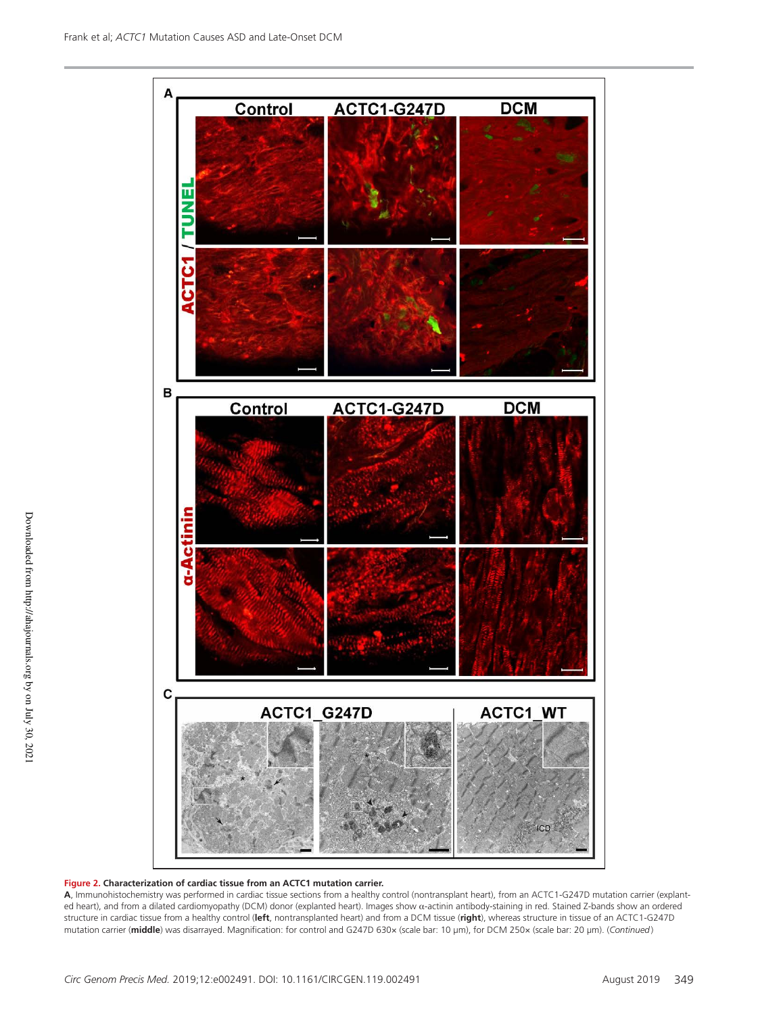

#### **Figure 2. Characterization of cardiac tissue from an ACTC1 mutation carrier.**

**A**, Immunohistochemistry was performed in cardiac tissue sections from a healthy control (nontransplant heart), from an ACTC1-G247D mutation carrier (explanted heart), and from a dilated cardiomyopathy (DCM) donor (explanted heart). Images show α-actinin antibody-staining in red. Stained Z-bands show an ordered structure in cardiac tissue from a healthy control (**left**, nontransplanted heart) and from a DCM tissue (**right**), whereas structure in tissue of an ACTC1-G247D mutation carrier (**middle**) was disarrayed. Magnification: for control and G247D 630× (scale bar: 10 μm), for DCM 250× (scale bar: 20 μm). (*Continued* )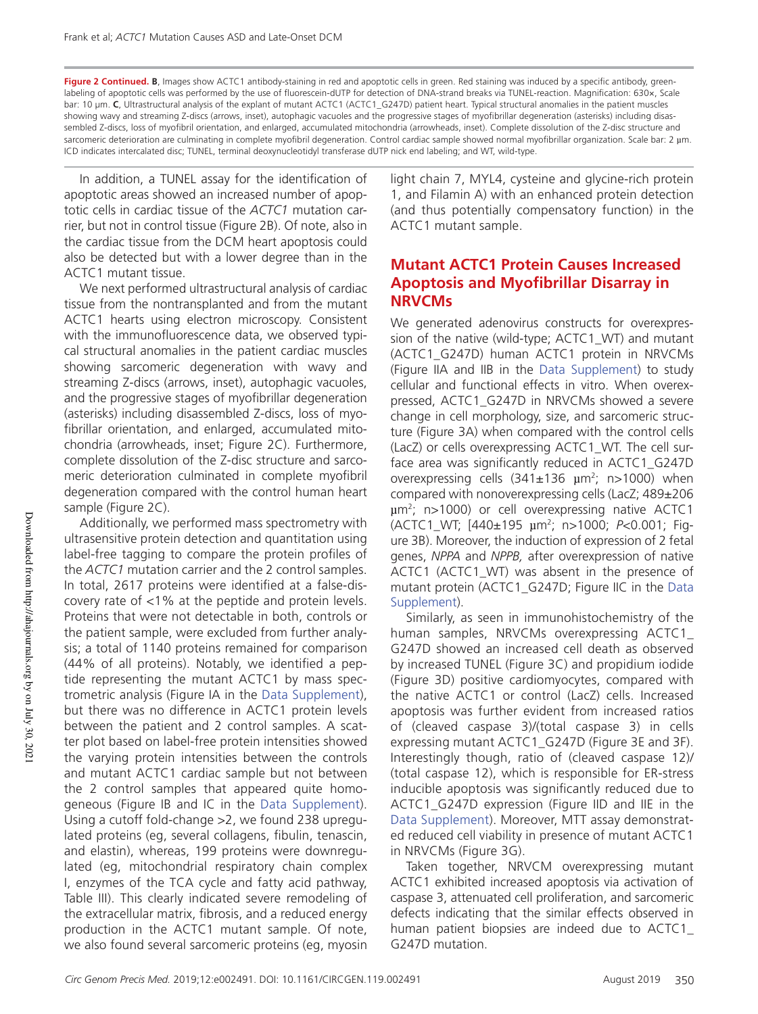Figure 2 Continued. B, Images show ACTC1 antibody-staining in red and apoptotic cells in green. Red staining was induced by a specific antibody, greenlabeling of apoptotic cells was performed by the use of fluorescein-dUTP for detection of DNA-strand breaks via TUNEL-reaction. Magnification: 630×, Scale bar: 10 μm. **C**, Ultrastructural analysis of the explant of mutant ACTC1 (ACTC1\_G247D) patient heart. Typical structural anomalies in the patient muscles showing wavy and streaming Z-discs (arrows, inset), autophagic vacuoles and the progressive stages of myofibrillar degeneration (asterisks) including disassembled Z-discs, loss of myofibril orientation, and enlarged, accumulated mitochondria (arrowheads, inset). Complete dissolution of the Z-disc structure and sarcomeric deterioration are culminating in complete myofibril degeneration. Control cardiac sample showed normal myofibrillar organization. Scale bar: 2 µm. ICD indicates intercalated disc; TUNEL, terminal deoxynucleotidyl transferase dUTP nick end labeling; and WT, wild-type.

In addition, a TUNEL assay for the identification of apoptotic areas showed an increased number of apoptotic cells in cardiac tissue of the *ACTC1* mutation carrier, but not in control tissue (Figure 2B). Of note, also in the cardiac tissue from the DCM heart apoptosis could also be detected but with a lower degree than in the ACTC1 mutant tissue.

We next performed ultrastructural analysis of cardiac tissue from the nontransplanted and from the mutant ACTC1 hearts using electron microscopy. Consistent with the immunofluorescence data, we observed typical structural anomalies in the patient cardiac muscles showing sarcomeric degeneration with wavy and streaming Z-discs (arrows, inset), autophagic vacuoles, and the progressive stages of myofibrillar degeneration (asterisks) including disassembled Z-discs, loss of myofibrillar orientation, and enlarged, accumulated mitochondria (arrowheads, inset; Figure 2C). Furthermore, complete dissolution of the Z-disc structure and sarcomeric deterioration culminated in complete myofibril degeneration compared with the control human heart sample (Figure 2C).

Additionally, we performed mass spectrometry with ultrasensitive protein detection and quantitation using label-free tagging to compare the protein profiles of the *ACTC1* mutation carrier and the 2 control samples. In total, 2617 proteins were identified at a false-discovery rate of <1% at the peptide and protein levels. Proteins that were not detectable in both, controls or the patient sample, were excluded from further analysis; a total of 1140 proteins remained for comparison (44% of all proteins). Notably, we identified a peptide representing the mutant ACTC1 by mass spectrometric analysis (Figure IA in the Data Supplement), but there was no difference in ACTC1 protein levels between the patient and 2 control samples. A scatter plot based on label-free protein intensities showed the varying protein intensities between the controls and mutant ACTC1 cardiac sample but not between the 2 control samples that appeared quite homogeneous (Figure IB and IC in the Data Supplement). Using a cutoff fold-change >2, we found 238 upregulated proteins (eg, several collagens, fibulin, tenascin, and elastin), whereas, 199 proteins were downregulated (eg, mitochondrial respiratory chain complex I, enzymes of the TCA cycle and fatty acid pathway, Table III). This clearly indicated severe remodeling of the extracellular matrix, fibrosis, and a reduced energy production in the ACTC1 mutant sample. Of note, we also found several sarcomeric proteins (eg, myosin

light chain 7, MYL4, cysteine and glycine-rich protein 1, and Filamin A) with an enhanced protein detection (and thus potentially compensatory function) in the ACTC1 mutant sample.

## **Mutant ACTC1 Protein Causes Increased Apoptosis and Myofibrillar Disarray in NRVCMs**

We generated adenovirus constructs for overexpression of the native (wild-type; ACTC1\_WT) and mutant (ACTC1\_G247D) human ACTC1 protein in NRVCMs (Figure IIA and IIB in the Data Supplement) to study cellular and functional effects in vitro. When overexpressed, ACTC1\_G247D in NRVCMs showed a severe change in cell morphology, size, and sarcomeric structure (Figure 3A) when compared with the control cells (LacZ) or cells overexpressing ACTC1\_WT. The cell surface area was significantly reduced in ACTC1\_G247D overexpressing cells  $(341\pm136 \mu m^2; n>1000)$  when compared with nonoverexpressing cells (LacZ; 489±206 µm<sup>2</sup> ; n>1000) or cell overexpressing native ACTC1 (ACTC1\_WT; [440±195 µm<sup>2</sup> ; n>1000; *P*<0.001; Figure 3B). Moreover, the induction of expression of 2 fetal genes, *NPPA* and *NPPB,* after overexpression of native ACTC1 (ACTC1\_WT) was absent in the presence of mutant protein (ACTC1\_G247D; Figure IIC in the Data Supplement).

Similarly, as seen in immunohistochemistry of the human samples, NRVCMs overexpressing ACTC1\_ G247D showed an increased cell death as observed by increased TUNEL (Figure 3C) and propidium iodide (Figure 3D) positive cardiomyocytes, compared with the native ACTC1 or control (LacZ) cells. Increased apoptosis was further evident from increased ratios of (cleaved caspase 3)/(total caspase 3) in cells expressing mutant ACTC1\_G247D (Figure 3E and 3F). Interestingly though, ratio of (cleaved caspase 12)/ (total caspase 12), which is responsible for ER-stress inducible apoptosis was significantly reduced due to ACTC1\_G247D expression (Figure IID and IIE in the Data Supplement). Moreover, MTT assay demonstrated reduced cell viability in presence of mutant ACTC1 in NRVCMs (Figure 3G).

Taken together, NRVCM overexpressing mutant ACTC1 exhibited increased apoptosis via activation of caspase 3, attenuated cell proliferation, and sarcomeric defects indicating that the similar effects observed in human patient biopsies are indeed due to ACTC1\_ G247D mutation.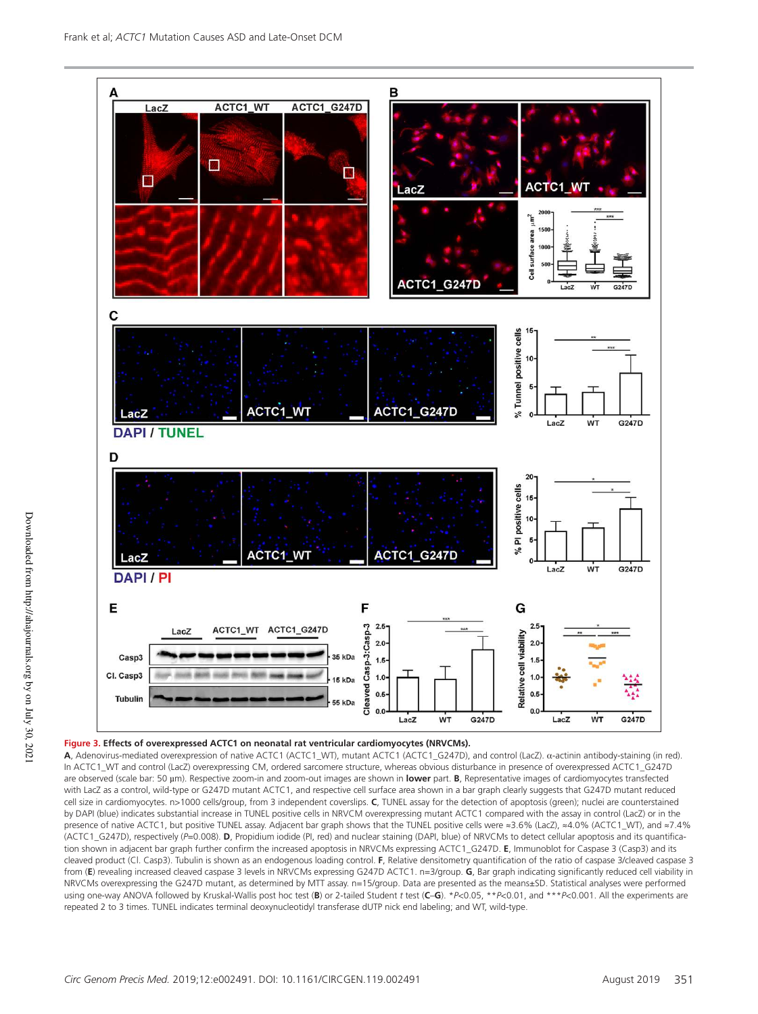

#### **Figure 3. Effects of overexpressed ACTC1 on neonatal rat ventricular cardiomyocytes (NRVCMs).**

**A**, Adenovirus-mediated overexpression of native ACTC1 (ACTC1\_WT), mutant ACTC1 (ACTC1\_G247D), and control (LacZ). α-actinin antibody-staining (in red). In ACTC1\_WT and control (LacZ) overexpressing CM, ordered sarcomere structure, whereas obvious disturbance in presence of overexpressed ACTC1\_G247D are observed (scale bar: 50 µm). Respective zoom-in and zoom-out images are shown in **lower** part. **B**, Representative images of cardiomyocytes transfected with LacZ as a control, wild-type or G247D mutant ACTC1, and respective cell surface area shown in a bar graph clearly suggests that G247D mutant reduced cell size in cardiomyocytes. n>1000 cells/group, from 3 independent coverslips. **C**, TUNEL assay for the detection of apoptosis (green); nuclei are counterstained by DAPI (blue) indicates substantial increase in TUNEL positive cells in NRVCM overexpressing mutant ACTC1 compared with the assay in control (LacZ) or in the presence of native ACTC1, but positive TUNEL assay. Adjacent bar graph shows that the TUNEL positive cells were ≈3.6% (LacZ), ≈4.0% (ACTC1\_WT), and ≈7.4% (ACTC1\_G247D), respectively (*P*=0.008). **D**, Propidium iodide (PI, red) and nuclear staining (DAPI, blue) of NRVCMs to detect cellular apoptosis and its quantification shown in adjacent bar graph further confirm the increased apoptosis in NRVCMs expressing ACTC1\_G247D. **E**, Immunoblot for Caspase 3 (Casp3) and its cleaved product (Cl. Casp3). Tubulin is shown as an endogenous loading control. **F**, Relative densitometry quantification of the ratio of caspase 3/cleaved caspase 3 from (**E**) revealing increased cleaved caspase 3 levels in NRVCMs expressing G247D ACTC1. n=3/group. **G**, Bar graph indicating significantly reduced cell viability in NRVCMs overexpressing the G247D mutant, as determined by MTT assay. n=15/group. Data are presented as the means±SD. Statistical analyses were performed using one-way ANOVA followed by Kruskal-Wallis post hoc test (**B**) or 2-tailed Student *t* test (**C**–**G**). \**P*<0.05, \*\**P*<0.01, and \*\*\**P*<0.001. All the experiments are repeated 2 to 3 times. TUNEL indicates terminal deoxynucleotidyl transferase dUTP nick end labeling; and WT, wild-type.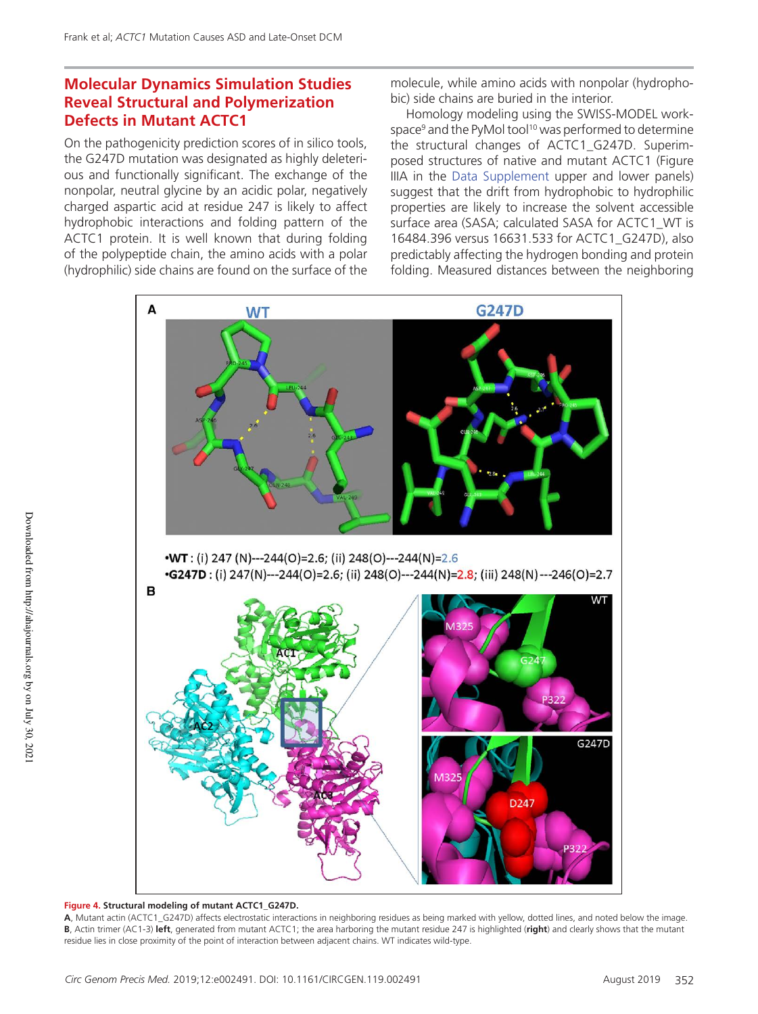## **Molecular Dynamics Simulation Studies Reveal Structural and Polymerization Defects in Mutant ACTC1**

On the pathogenicity prediction scores of in silico tools, the G247D mutation was designated as highly deleterious and functionally significant. The exchange of the nonpolar, neutral glycine by an acidic polar, negatively charged aspartic acid at residue 247 is likely to affect hydrophobic interactions and folding pattern of the ACTC1 protein. It is well known that during folding of the polypeptide chain, the amino acids with a polar (hydrophilic) side chains are found on the surface of the molecule, while amino acids with nonpolar (hydrophobic) side chains are buried in the interior.

Homology modeling using the SWISS-MODEL workspace<sup>9</sup> and the PyMol tool<sup>10</sup> was performed to determine the structural changes of ACTC1\_G247D. Superimposed structures of native and mutant ACTC1 (Figure IIIA in the Data Supplement upper and lower panels) suggest that the drift from hydrophobic to hydrophilic properties are likely to increase the solvent accessible surface area (SASA; calculated SASA for ACTC1\_WT is 16484.396 versus 16631.533 for ACTC1\_G247D), also predictably affecting the hydrogen bonding and protein folding. Measured distances between the neighboring



#### **Figure 4. Structural modeling of mutant ACTC1\_G247D.**

**A**, Mutant actin (ACTC1\_G247D) affects electrostatic interactions in neighboring residues as being marked with yellow, dotted lines, and noted below the image. **B**, Actin trimer (AC1-3) **left**, generated from mutant ACTC1; the area harboring the mutant residue 247 is highlighted (**right**) and clearly shows that the mutant residue lies in close proximity of the point of interaction between adjacent chains. WT indicates wild-type.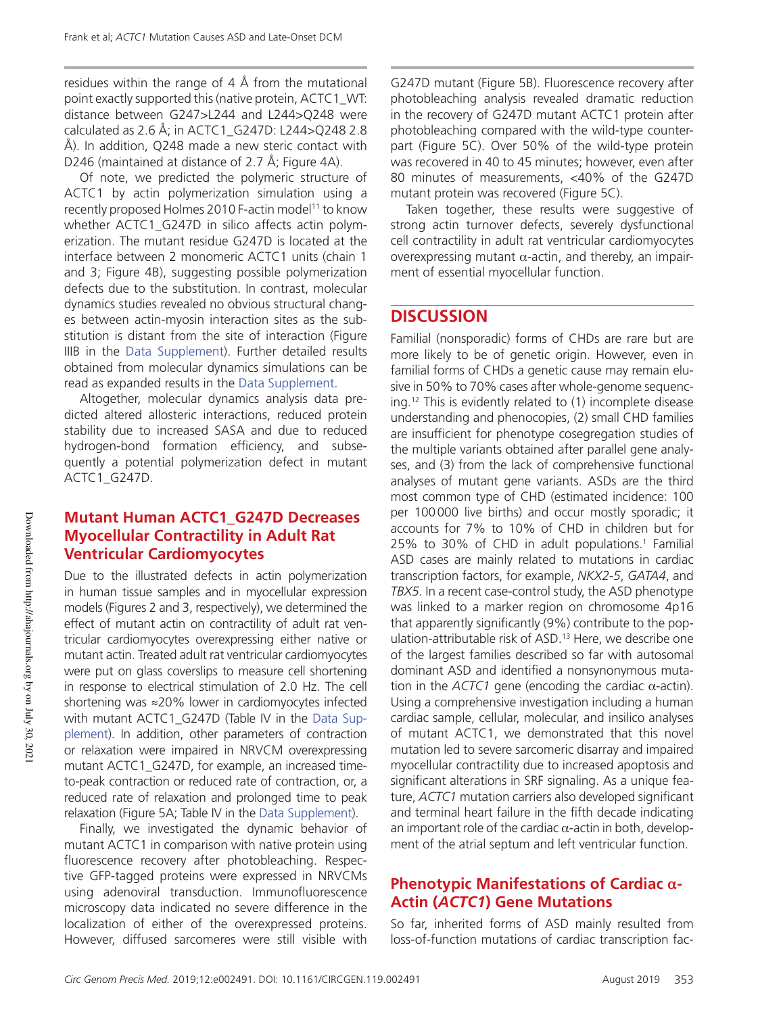residues within the range of 4 Å from the mutational point exactly supported this (native protein, ACTC1\_WT: distance between G247>L244 and L244>Q248 were calculated as 2.6 Å; in ACTC1\_G247D: L244>Q248 2.8 Å). In addition, Q248 made a new steric contact with D246 (maintained at distance of 2.7 Å; Figure 4A).

Of note, we predicted the polymeric structure of ACTC1 by actin polymerization simulation using a recently proposed Holmes 2010 F-actin model<sup>11</sup> to know whether ACTC1\_G247D in silico affects actin polymerization. The mutant residue G247D is located at the interface between 2 monomeric ACTC1 units (chain 1 and 3; Figure 4B), suggesting possible polymerization defects due to the substitution. In contrast, molecular dynamics studies revealed no obvious structural changes between actin-myosin interaction sites as the substitution is distant from the site of interaction (Figure IIIB in the Data Supplement). Further detailed results obtained from molecular dynamics simulations can be read as expanded results in the Data Supplement.

Altogether, molecular dynamics analysis data predicted altered allosteric interactions, reduced protein stability due to increased SASA and due to reduced hydrogen-bond formation efficiency, and subsequently a potential polymerization defect in mutant ACTC1\_G247D.

## **Mutant Human ACTC1\_G247D Decreases Myocellular Contractility in Adult Rat Ventricular Cardiomyocytes**

Due to the illustrated defects in actin polymerization in human tissue samples and in myocellular expression models (Figures 2 and 3, respectively), we determined the effect of mutant actin on contractility of adult rat ventricular cardiomyocytes overexpressing either native or mutant actin. Treated adult rat ventricular cardiomyocytes were put on glass coverslips to measure cell shortening in response to electrical stimulation of 2.0 Hz. The cell shortening was ≈20% lower in cardiomyocytes infected with mutant ACTC1\_G247D (Table IV in the Data Supplement). In addition, other parameters of contraction or relaxation were impaired in NRVCM overexpressing mutant ACTC1\_G247D, for example, an increased timeto-peak contraction or reduced rate of contraction, or, a reduced rate of relaxation and prolonged time to peak relaxation (Figure 5A; Table IV in the Data Supplement).

Finally, we investigated the dynamic behavior of mutant ACTC1 in comparison with native protein using fluorescence recovery after photobleaching. Respective GFP-tagged proteins were expressed in NRVCMs using adenoviral transduction. Immunofluorescence microscopy data indicated no severe difference in the localization of either of the overexpressed proteins. However, diffused sarcomeres were still visible with G247D mutant (Figure 5B). Fluorescence recovery after photobleaching analysis revealed dramatic reduction in the recovery of G247D mutant ACTC1 protein after photobleaching compared with the wild-type counterpart (Figure 5C). Over 50% of the wild-type protein was recovered in 40 to 45 minutes; however, even after 80 minutes of measurements, <40% of the G247D mutant protein was recovered (Figure 5C).

Taken together, these results were suggestive of strong actin turnover defects, severely dysfunctional cell contractility in adult rat ventricular cardiomyocytes overexpressing mutant α-actin, and thereby, an impairment of essential myocellular function.

## **DISCUSSION**

Familial (nonsporadic) forms of CHDs are rare but are more likely to be of genetic origin. However, even in familial forms of CHDs a genetic cause may remain elusive in 50% to 70% cases after whole-genome sequencing.12 This is evidently related to (1) incomplete disease understanding and phenocopies, (2) small CHD families are insufficient for phenotype cosegregation studies of the multiple variants obtained after parallel gene analyses, and (3) from the lack of comprehensive functional analyses of mutant gene variants. ASDs are the third most common type of CHD (estimated incidence: 100 per 100 000 live births) and occur mostly sporadic; it accounts for 7% to 10% of CHD in children but for 25% to 30% of CHD in adult populations.<sup>1</sup> Familial ASD cases are mainly related to mutations in cardiac transcription factors, for example, *NKX2-5*, *GATA4*, and *TBX5.* In a recent case-control study, the ASD phenotype was linked to a marker region on chromosome 4p16 that apparently significantly (9%) contribute to the population-attributable risk of ASD.<sup>13</sup> Here, we describe one of the largest families described so far with autosomal dominant ASD and identified a nonsynonymous mutation in the *ACTC1* gene (encoding the cardiac  $α$ -actin). Using a comprehensive investigation including a human cardiac sample, cellular, molecular, and insilico analyses of mutant ACTC1, we demonstrated that this novel mutation led to severe sarcomeric disarray and impaired myocellular contractility due to increased apoptosis and significant alterations in SRF signaling. As a unique feature, *ACTC1* mutation carriers also developed significant and terminal heart failure in the fifth decade indicating an important role of the cardiac  $\alpha$ -actin in both, development of the atrial septum and left ventricular function.

## **Phenotypic Manifestations of Cardiac α-Actin (***ACTC1***) Gene Mutations**

So far, inherited forms of ASD mainly resulted from loss-of-function mutations of cardiac transcription fac-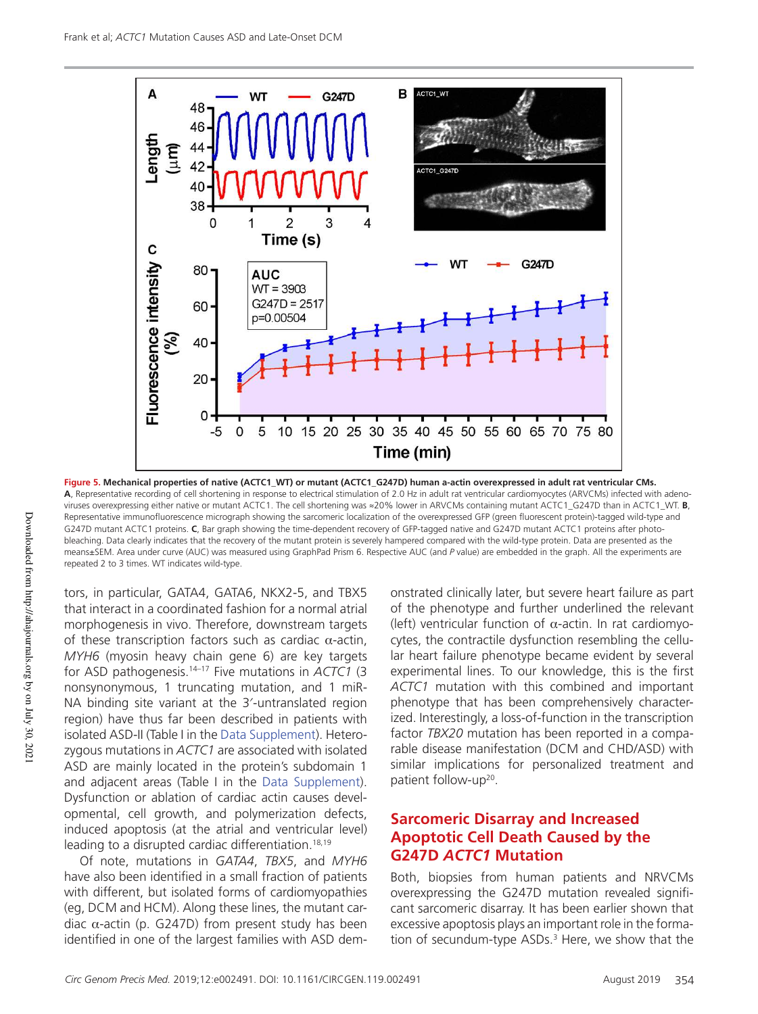

**Figure 5. Mechanical properties of native (ACTC1\_WT) or mutant (ACTC1\_G247D) human a-actin overexpressed in adult rat ventricular CMs. A**, Representative recording of cell shortening in response to electrical stimulation of 2.0 Hz in adult rat ventricular cardiomyocytes (ARVCMs) infected with adenoviruses overexpressing either native or mutant ACTC1. The cell shortening was ≈20% lower in ARVCMs containing mutant ACTC1\_G247D than in ACTC1\_WT. **B**, Representative immunofluorescence micrograph showing the sarcomeric localization of the overexpressed GFP (green fluorescent protein)-tagged wild-type and G247D mutant ACTC1 proteins. **C**, Bar graph showing the time-dependent recovery of GFP-tagged native and G247D mutant ACTC1 proteins after photobleaching. Data clearly indicates that the recovery of the mutant protein is severely hampered compared with the wild-type protein. Data are presented as the means±SEM. Area under curve (AUC) was measured using GraphPad Prism 6. Respective AUC (and *P* value) are embedded in the graph. All the experiments are repeated 2 to 3 times. WT indicates wild-type.

tors, in particular, GATA4, GATA6, NKX2-5, and TBX5 that interact in a coordinated fashion for a normal atrial morphogenesis in vivo. Therefore, downstream targets of these transcription factors such as cardiac α-actin, *MYH6* (myosin heavy chain gene 6) are key targets for ASD pathogenesis.14–17 Five mutations in *ACTC1* (3 nonsynonymous, 1 truncating mutation, and 1 miR-NA binding site variant at the 3′-untranslated region region) have thus far been described in patients with isolated ASD-II (Table I in the Data Supplement). Heterozygous mutations in *ACTC1* are associated with isolated ASD are mainly located in the protein's subdomain 1 and adjacent areas (Table I in the Data Supplement). Dysfunction or ablation of cardiac actin causes developmental, cell growth, and polymerization defects, induced apoptosis (at the atrial and ventricular level) leading to a disrupted cardiac differentiation.<sup>18,19</sup>

Of note, mutations in *GATA4*, *TBX5*, and *MYH6* have also been identified in a small fraction of patients with different, but isolated forms of cardiomyopathies (eg, DCM and HCM). Along these lines, the mutant cardiac  $α$ -actin (p. G247D) from present study has been identified in one of the largest families with ASD demonstrated clinically later, but severe heart failure as part of the phenotype and further underlined the relevant (left) ventricular function of  $α$ -actin. In rat cardiomyocytes, the contractile dysfunction resembling the cellular heart failure phenotype became evident by several experimental lines. To our knowledge, this is the first *ACTC1* mutation with this combined and important phenotype that has been comprehensively characterized. Interestingly, a loss-of-function in the transcription factor *TBX20* mutation has been reported in a comparable disease manifestation (DCM and CHD/ASD) with similar implications for personalized treatment and patient follow-up<sup>20</sup>.

#### **Sarcomeric Disarray and Increased Apoptotic Cell Death Caused by the G247D** *ACTC1* **Mutation**

Both, biopsies from human patients and NRVCMs overexpressing the G247D mutation revealed significant sarcomeric disarray. It has been earlier shown that excessive apoptosis plays an important role in the formation of secundum-type ASDs.<sup>3</sup> Here, we show that the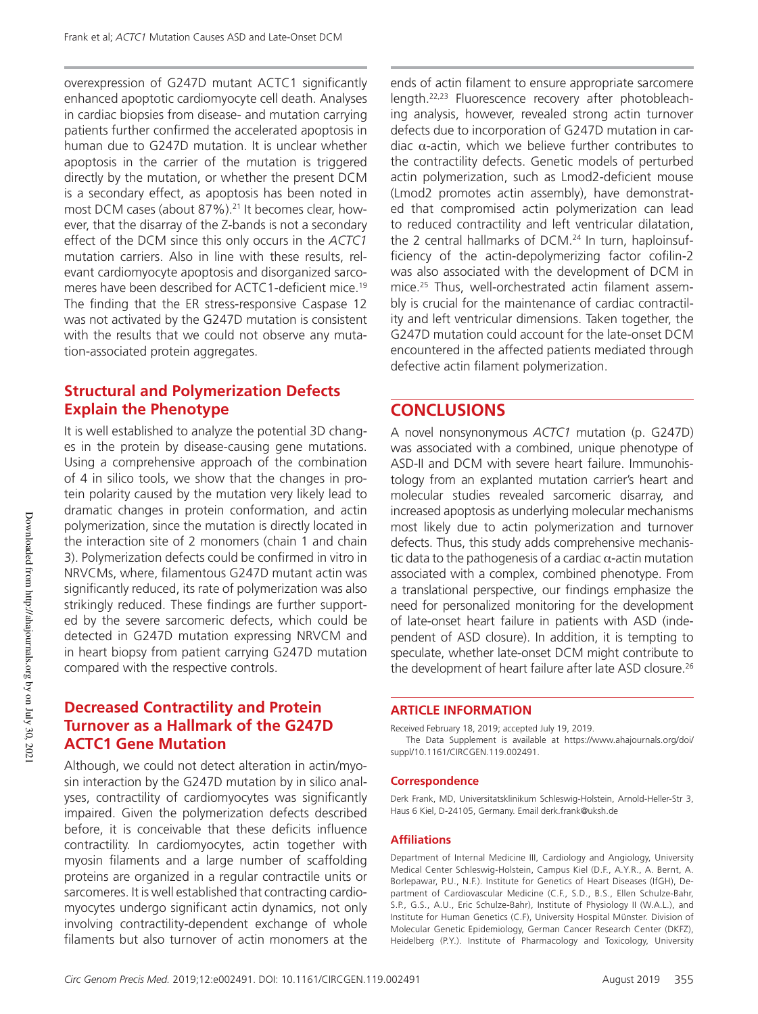overexpression of G247D mutant ACTC1 significantly enhanced apoptotic cardiomyocyte cell death. Analyses in cardiac biopsies from disease- and mutation carrying patients further confirmed the accelerated apoptosis in human due to G247D mutation. It is unclear whether apoptosis in the carrier of the mutation is triggered directly by the mutation, or whether the present DCM is a secondary effect, as apoptosis has been noted in most DCM cases (about 87%).<sup>21</sup> It becomes clear, however, that the disarray of the Z-bands is not a secondary effect of the DCM since this only occurs in the *ACTC1* mutation carriers. Also in line with these results, relevant cardiomyocyte apoptosis and disorganized sarcomeres have been described for ACTC1-deficient mice.<sup>19</sup> The finding that the ER stress-responsive Caspase 12 was not activated by the G247D mutation is consistent with the results that we could not observe any mutation-associated protein aggregates.

## **Structural and Polymerization Defects Explain the Phenotype**

It is well established to analyze the potential 3D changes in the protein by disease-causing gene mutations. Using a comprehensive approach of the combination of 4 in silico tools, we show that the changes in protein polarity caused by the mutation very likely lead to dramatic changes in protein conformation, and actin polymerization, since the mutation is directly located in the interaction site of 2 monomers (chain 1 and chain 3). Polymerization defects could be confirmed in vitro in NRVCMs, where, filamentous G247D mutant actin was significantly reduced, its rate of polymerization was also strikingly reduced. These findings are further supported by the severe sarcomeric defects, which could be detected in G247D mutation expressing NRVCM and in heart biopsy from patient carrying G247D mutation compared with the respective controls.

## **Decreased Contractility and Protein Turnover as a Hallmark of the G247D ACTC1 Gene Mutation**

Although, we could not detect alteration in actin/myosin interaction by the G247D mutation by in silico analyses, contractility of cardiomyocytes was significantly impaired. Given the polymerization defects described before, it is conceivable that these deficits influence contractility. In cardiomyocytes, actin together with myosin filaments and a large number of scaffolding proteins are organized in a regular contractile units or sarcomeres. It is well established that contracting cardiomyocytes undergo significant actin dynamics, not only involving contractility-dependent exchange of whole filaments but also turnover of actin monomers at the

ends of actin filament to ensure appropriate sarcomere length.22,23 Fluorescence recovery after photobleaching analysis, however, revealed strong actin turnover defects due to incorporation of G247D mutation in cardiac  $α$ -actin, which we believe further contributes to the contractility defects. Genetic models of perturbed actin polymerization, such as Lmod2-deficient mouse (Lmod2 promotes actin assembly), have demonstrated that compromised actin polymerization can lead to reduced contractility and left ventricular dilatation, the 2 central hallmarks of DCM.<sup>24</sup> In turn, haploinsufficiency of the actin-depolymerizing factor cofilin-2 was also associated with the development of DCM in mice.25 Thus, well-orchestrated actin filament assembly is crucial for the maintenance of cardiac contractility and left ventricular dimensions. Taken together, the G247D mutation could account for the late-onset DCM encountered in the affected patients mediated through defective actin filament polymerization.

## **CONCLUSIONS**

A novel nonsynonymous *ACTC1* mutation (p. G247D) was associated with a combined, unique phenotype of ASD-II and DCM with severe heart failure. Immunohistology from an explanted mutation carrier's heart and molecular studies revealed sarcomeric disarray, and increased apoptosis as underlying molecular mechanisms most likely due to actin polymerization and turnover defects. Thus, this study adds comprehensive mechanistic data to the pathogenesis of a cardiac  $\alpha$ -actin mutation associated with a complex, combined phenotype. From a translational perspective, our findings emphasize the need for personalized monitoring for the development of late-onset heart failure in patients with ASD (independent of ASD closure). In addition, it is tempting to speculate, whether late-onset DCM might contribute to the development of heart failure after late ASD closure.<sup>26</sup>

#### **ARTICLE INFORMATION**

Received February 18, 2019; accepted July 19, 2019. The Data Supplement is available at https://www.ahajournals.org/doi/ suppl/10.1161/CIRCGEN.119.002491.

#### **Correspondence**

Derk Frank, MD, Universitatsklinikum Schleswig-Holstein, Arnold-Heller-Str 3, Haus 6 Kiel, D-24105, Germany. Email derk.frank@uksh.de

#### **Affiliations**

Department of Internal Medicine III, Cardiology and Angiology, University Medical Center Schleswig-Holstein, Campus Kiel (D.F., A.Y.R., A. Bernt, A. Borlepawar, P.U., N.F.). Institute for Genetics of Heart Diseases (IfGH), Department of Cardiovascular Medicine (C.F., S.D., B.S., Ellen Schulze-Bahr, S.P., G.S., A.U., Eric Schulze-Bahr), Institute of Physiology II (W.A.L.), and Institute for Human Genetics (C.F), University Hospital Münster. Division of Molecular Genetic Epidemiology, German Cancer Research Center (DKFZ), Heidelberg (P.Y.). Institute of Pharmacology and Toxicology, University